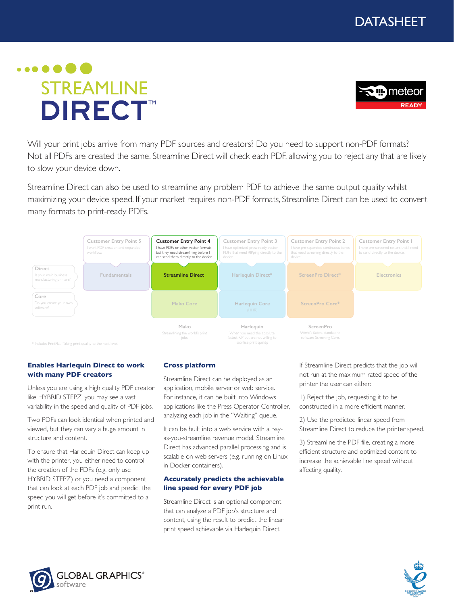

# $\bullet\bullet\bullet\bullet\bullet$ **STREAMLINE DIRECT**<sup>™</sup>



Will your print jobs arrive from many PDF sources and creators? Do you need to support non-PDF formats? Not all PDFs are created the same. Streamline Direct will check each PDF, allowing you to reject any that are likely to slow your device down.

Streamline Direct can also be used to streamline any problem PDF to achieve the same output quality whilst maximizing your device speed. If your market requires non-PDF formats, Streamline Direct can be used to convert many formats to print-ready PDFs.



#### **Enables Harlequin Direct to work with many PDF creators**

Unless you are using a high quality PDF creator like HYBRID STEPZ, you may see a vast variability in the speed and quality of PDF jobs.

Two PDFs can look identical when printed and viewed, but they can vary a huge amount in structure and content.

To ensure that Harlequin Direct can keep up with the printer, you either need to control the creation of the PDFs (e.g. only use HYBRID STEPZ) or you need a component that can look at each PDF job and predict the speed you will get before it's committed to a print run.

### **Cross platform**

Streamline Direct can be deployed as an application, mobile server or web service. For instance, it can be built into Windows applications like the Press Operator Controller, analyzing each job in the "Waiting" queue.

It can be built into a web service with a payas-you-streamline revenue model. Streamline Direct has advanced parallel processing and is scalable on web servers (e.g. running on Linux in Docker containers).

#### **Accurately predicts the achievable line speed for every PDF job**

Streamline Direct is an optional component that can analyze a PDF job's structure and content, using the result to predict the linear print speed achievable via Harlequin Direct.

If Streamline Direct predicts that the job will not run at the maximum rated speed of the printer the user can either:

1) Reject the job, requesting it to be constructed in a more efficient manner.

2) Use the predicted linear speed from Streamline Direct to reduce the printer speed.

3) Streamline the PDF file, creating a more efficient structure and optimized content to increase the achievable line speed without affecting quality.